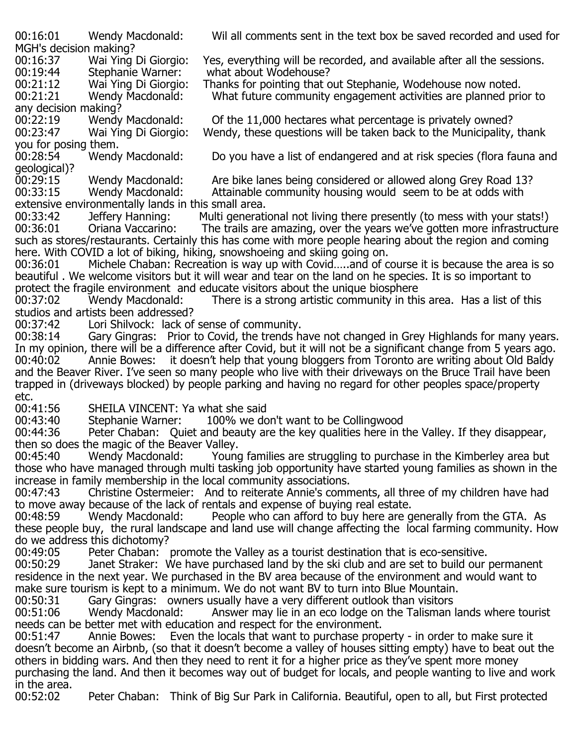MGH's decision making?

00:19:44 Stephanie Warner: what about Wodehouse?<br>00:21:12 Wai Ying Di Giorgio: Thanks for pointing that c

any decision making?<br>00:22:19 Wendy Macdonald: you for posing them.<br>00:28:54 Wendy Macdonald:

Do you have a list of endangered and at risk species (flora fauna and

geological)?<br>00:29:15

00:29:15 Mendy Macdonald: Are bike lanes being considered or allowed along Grey Road 13?<br>00:33:15 Wendy Macdonald: Attainable community housing would seem to be at odds with Attainable community housing would seem to be at odds with extensive environmentally lands in this small area.<br>00:33:42 Deffery Hanning: Multi generati

00:33:42 Deffery Hanning: Multi generational not living there presently (to mess with your stats!)<br>00:36:01 Oriana Vaccarino: The trails are amazing, over the vears we've gotten more infrastructur The trails are amazing, over the years we've gotten more infrastructure such as stores/restaurants. Certainly this has come with more people hearing about the region and coming here. With COVID a lot of biking, hiking, snowshoeing and skiing going on.<br>00:36:01 Michele Chaban: Recreation is way up with Covid.....and of c

Michele Chaban: Recreation is way up with Covid.....and of course it is because the area is so beautiful . We welcome visitors but it will wear and tear on the land on he species. It is so important to protect the fragile environment and educate visitors about the unique biosphere<br>00:37:02 Wendy Macdonald: There is a strong artistic community in thi

There is a strong artistic community in this area. Has a list of this studios and artists been addressed?<br>00:37:42 Lori Shilvock: lack of

00:37:42 Lori Shilvock: lack of sense of community.<br>00:38:14 Gary Gingras: Prior to Covid, the trends h

Gary Gingras: Prior to Covid, the trends have not changed in Grey Highlands for many years. In my opinion, there will be a difference after Covid, but it will not be a significant change from 5 years ago. 00:40:02 Annie Bowes: it doesn't help that young bloggers from Toronto are writing about Old Baldy and the Beaver River. I've seen so many people who live with their driveways on the Bruce Trail have been trapped in (driveways blocked) by people parking and having no regard for other peoples space/property

etc.<br>00:41:56 00:41:56 SHEILA VINCENT: Ya what she said<br>00:43:40 Stephanie Warner: 100% we do

00:43:40 Stephanie Warner: 100% we don't want to be Collingwood<br>00:44:36 Peter Chaban: Ouiet and beauty are the key qualities here in t

Peter Chaban: Quiet and beauty are the key qualities here in the Valley. If they disappear, then so does the magic of the Beaver Valley.<br>00:45:40 Wendy Macdonald: Young

Young families are struggling to purchase in the Kimberley area but those who have managed through multi tasking job opportunity have started young families as shown in the increase in family membership in the local community associations.

Christine Ostermeier: And to reiterate Annie's comments, all three of my children have had to move away because of the lack of rentals and expense of buying real estate.<br>00:48:59 Wendy Macdonald: People who can afford to buy here are g

People who can afford to buy here are generally from the GTA. As these people buy, the rural landscape and land use will change affecting the local farming community. How do we address this dichotomy?

00:49:05 Peter Chaban: promote the Valley as a tourist destination that is eco-sensitive.<br>00:50:29 Janet Straker: We have purchased land by the ski club and are set to build our

Janet Straker: We have purchased land by the ski club and are set to build our permanent residence in the next year. We purchased in the BV area because of the environment and would want to make sure tourism is kept to a minimum. We do not want BV to turn into Blue Mountain.<br>00:50:31 Gary Gingras: owners usually have a very different outlook than visitors

00:50:31 Gary Gingras: owners usually have a very different outlook than visitors<br>00:51:06 Wendy Macdonald: Answer may lie in an eco lodge on the Talisman

Answer may lie in an eco lodge on the Talisman lands where tourist needs can be better met with education and respect for the environment.<br>00:51:47 Annie Bowes: Even the locals that want to purchase prop

Even the locals that want to purchase property - in order to make sure it doesn't become an Airbnb, (so that it doesn't become a valley of houses sitting empty) have to beat out the others in bidding wars. And then they need to rent it for a higher price as they've spent more money purchasing the land. And then it becomes way out of budget for locals, and people wanting to live and work in the area.<br>00:52:02

00:52:02 Peter Chaban: Think of Big Sur Park in California. Beautiful, open to all, but First protected

00:16:01 Wendy Macdonald: Wil all comments sent in the text box be saved recorded and used for

00:16:37 Wai Ying Di Giorgio: Yes, everything will be recorded, and available after all the sessions.<br>00:19:44 Stephanie Warner: what about Wodehouse?

00:21:12 Wai Ying Di Giorgio: Thanks for pointing that out Stephanie, Wodehouse now noted.<br>00:21:21 Wendy Macdonald: What future community engagement activities are planned pri

What future community engagement activities are planned prior to

00:22:19 Wendy Macdonald: Of the 11,000 hectares what percentage is privately owned?<br>00:23:47 Wai Ying Di Giorgio: Wendy, these guestions will be taken back to the Municipality, Wendy, these questions will be taken back to the Municipality, thank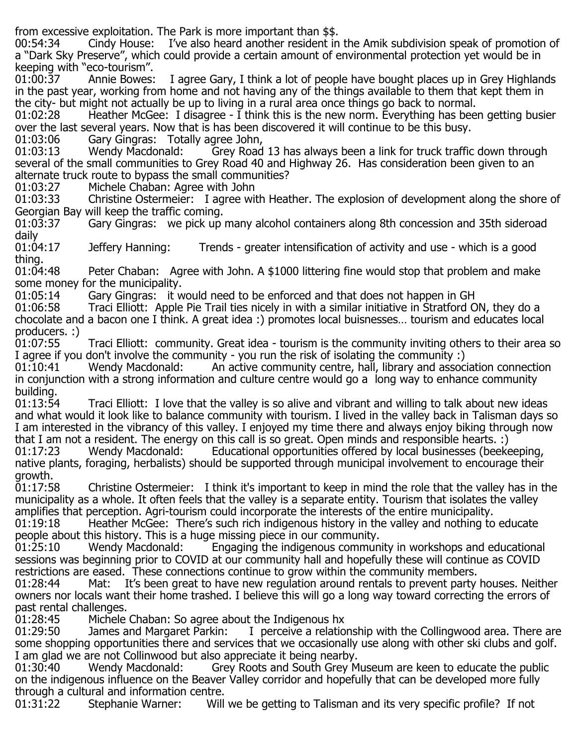from excessive exploitation. The Park is more important than \$\$.

I've also heard another resident in the Amik subdivision speak of promotion of a "Dark Sky Preserve", which could provide a certain amount of environmental protection yet would be in keeping with "eco-tourism".

I agree Gary, I think a lot of people have bought places up in Grey Highlands in the past year, working from home and not having any of the things available to them that kept them in the city- but might not actually be up to living in a rural area once things go back to normal.<br>01:02:28 Heather McGee: I disagree - I think this is the new norm. Everything has bee

Heather McGee: I disagree - I think this is the new norm. Everything has been getting busier over the last several years. Now that is has been discovered it will continue to be this busy.

01:03:06 Gary Gingras: Totally agree John,<br>01:03:13 Wendy Macdonald: Grey Road

Grey Road 13 has always been a link for truck traffic down through several of the small communities to Grey Road 40 and Highway 26. Has consideration been given to an alternate truck route to bypass the small communities?<br>01:03:27 Michele Chaban: Agree with John

01:03:27 Michele Chaban: Agree with John<br>01:03:33 Christine Ostermeier: I agree wit

01:03:33 Christine Ostermeier: I agree with Heather. The explosion of development along the shore of Georgian Bay will keep the traffic coming.

Gary Gingras: we pick up many alcohol containers along 8th concession and 35th sideroad

daily<br>01:04:17 01:04:17 Jeffery Hanning: Trends - greater intensification of activity and use - which is a good thing.<br>01:04:48

Peter Chaban: Agree with John. A \$1000 littering fine would stop that problem and make some money for the municipality.

01:05:14 Gary Gingras: it would need to be enforced and that does not happen in GH<br>01:06:58 Traci Elliott: Apple Pie Trail ties nicely in with a similar initiative in Stratford O

Traci Elliott: Apple Pie Trail ties nicely in with a similar initiative in Stratford ON, they do a chocolate and a bacon one I think. A great idea :) promotes local buisnesses… tourism and educates local producers. :)<br>01:07:55

Traci Elliott: community. Great idea - tourism is the community inviting others to their area so I agree if you don't involve the community - you run the risk of isolating the community :)<br>01:10:41 Wendy Macdonald: An active community centre, hall, library and assoc

An active community centre, hall, library and association connection in conjunction with a strong information and culture centre would go a long way to enhance community building.<br>01:13:54

Traci Elliott: I love that the valley is so alive and vibrant and willing to talk about new ideas and what would it look like to balance community with tourism. I lived in the valley back in Talisman days so I am interested in the vibrancy of this valley. I enjoyed my time there and always enjoy biking through now that I am not a resident. The energy on this call is so great. Open minds and responsible hearts. :)<br>01:17:23 Wendy Macdonald: Educational opportunities offered by local businesses (beeke

Educational opportunities offered by local businesses (beekeeping, native plants, foraging, herbalists) should be supported through municipal involvement to encourage their growth.<br>01:17:58

Christine Ostermeier: I think it's important to keep in mind the role that the valley has in the municipality as a whole. It often feels that the valley is a separate entity. Tourism that isolates the valley amplifies that perception. Agri-tourism could incorporate the interests of the entire municipality.<br>01:19:18 Theather McGee: There's such rich indigenous history in the valley and nothing to

Heather McGee: There's such rich indigenous history in the valley and nothing to educate people about this history. This is a huge missing piece in our community.<br>01:25:10 Wendy Macdonald: Engaging the indigenous commun

01:25:10 Wendy Macdonald: Engaging the indigenous community in workshops and educational sessions was beginning prior to COVID at our community hall and hopefully these will continue as COVID restrictions are eased. These connections continue to grow within the community members.<br>01:28:44 Mat: It's been great to have new regulation around rentals to prevent party

Mat: It's been great to have new regulation around rentals to prevent party houses. Neither owners nor locals want their home trashed. I believe this will go a long way toward correcting the errors of past rental challenges.

01:28:45 Michele Chaban: So agree about the Indigenous hx<br>01:29:50 James and Margaret Parkin: I perceive a relatio

I perceive a relationship with the Collingwood area. There are some shopping opportunities there and services that we occasionally use along with other ski clubs and golf. I am glad we are not Collinwood but also appreciate it being nearby.<br>01:30:40 Wendy Macdonald: Grey Roots and South Grey M

Grey Roots and South Grey Museum are keen to educate the public on the indigenous influence on the Beaver Valley corridor and hopefully that can be developed more fully through a cultural and information centre.

Will we be getting to Talisman and its very specific profile? If not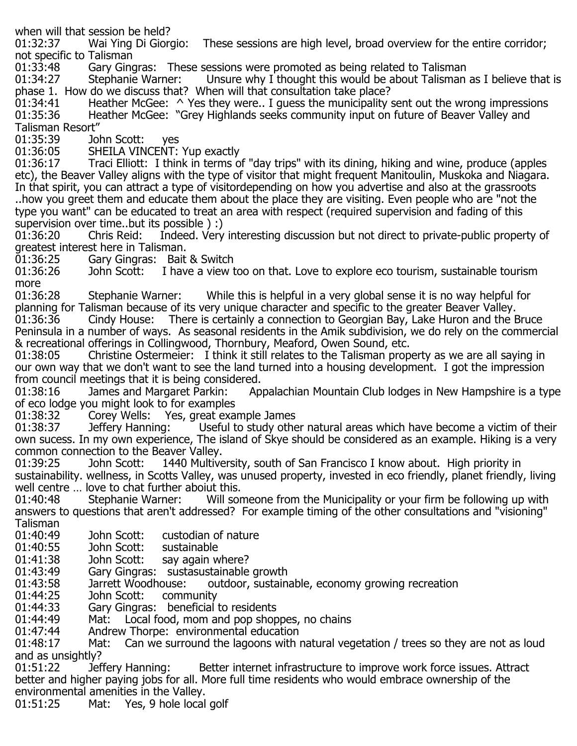when will that session be held?<br>01:32:37 Wai Ying Di Giorgio: These sessions are high level, broad overview for the entire corridor; not specific to Talisman

01:33:48 Gary Gingras: These sessions were promoted as being related to Talisman<br>01:34:27 Stephanie Warner: Unsure why I thought this would be about Talisman

Unsure why I thought this would be about Talisman as I believe that is phase 1. How do we discuss that? When will that consultation take place?<br>01:34:41 Heather McGee: ^ Yes they were.. I quess the municipality

 $01:34:41$  Heather McGee:  $\wedge$  Yes they were.. I guess the municipality sent out the wrong impressions  $01:35:36$  Heather McGee: "Grey Highlands seeks community input on future of Beaver Valley and Heather McGee: "Grey Highlands seeks community input on future of Beaver Valley and Talisman Resort"

01:35:39 John Scott: yes 01:36:05 SHEILA VINCENT: Yup exactly<br>01:36:17 Traci Elliott: I think in terms o

Traci Elliott: I think in terms of "day trips" with its dining, hiking and wine, produce (apples etc), the Beaver Valley aligns with the type of visitor that might frequent Manitoulin, Muskoka and Niagara. In that spirit, you can attract a type of visitordepending on how you advertise and also at the grassroots ..how you greet them and educate them about the place they are visiting. Even people who are "not the type you want" can be educated to treat an area with respect (required supervision and fading of this supervision over time..but its possible ) :)

Indeed. Very interesting discussion but not direct to private-public property of greatest interest here in Talisman.

01:36:25 Gary Gingras: Bait & Switch<br>01:36:26 John Scott: I have a view t

I have a view too on that. Love to explore eco tourism, sustainable tourism more<br>01:36:28

Stephanie Warner: While this is helpful in a very global sense it is no way helpful for planning for Talisman because of its very unique character and specific to the greater Beaver Valley.<br>01:36:36 Cindy House: There is certainly a connection to Georgian Bay, Lake Huron and the E There is certainly a connection to Georgian Bay, Lake Huron and the Bruce Peninsula in a number of ways. As seasonal residents in the Amik subdivision, we do rely on the commercial & recreational offerings in Collingwood, Thornbury, Meaford, Owen Sound, etc.

01:38:05 Christine Ostermeier: I think it still relates to the Talisman property as we are all saying in our own way that we don't want to see the land turned into a housing development. I got the impression from council meetings that it is being considered.

Appalachian Mountain Club lodges in New Hampshire is a type of eco lodge you might look to for examples

01:38:32 Corey Wells: Yes, great example James

Useful to study other natural areas which have become a victim of their own sucess. In my own experience, The island of Skye should be considered as an example. Hiking is a very common connection to the Beaver Valley.

1440 Multiversity, south of San Francisco I know about. High priority in sustainability. wellness, in Scotts Valley, was unused property, invested in eco friendly, planet friendly, living well centre … love to chat further aboiut this.

Will someone from the Municipality or your firm be following up with answers to questions that aren't addressed? For example timing of the other consultations and "visioning" Talisman<br>01:40:49

01:40:49 John Scott: custodian of nature<br>01:40:55 John Scott: sustainable

01:40:55 John Scott:<br>01:41:38 John Scott:

01:41:38 John Scott: say again where?<br>01:43:49 Gary Gingras: sustasustainable

01:43:49 Gary Gingras: sustasustainable growth<br>01:43:58 Jarrett Woodhouse: outdoor, sustain

01:43:58 Jarrett Woodhouse: outdoor, sustainable, economy growing recreation<br>01:44:25 John Scott: community

01:44:25 John Scott: community<br>01:44:33 Gary Gingras: beneficial

01:44:33 Gary Gingras: beneficial to residents<br>01:44:49 Mat: Local food, mom and pop shop

01:44:49 Mat: Local food, mom and pop shoppes, no chains<br>01:47:44 Andrew Thorpe: environmental education

01:47:44 Andrew Thorpe: environmental education<br>01:48:17 Mat: Can we surround the lagoons with

Can we surround the lagoons with natural vegetation / trees so they are not as loud and as unsightly?<br>01:51:22 Jeffery Hanning:

Better internet infrastructure to improve work force issues. Attract better and higher paying jobs for all. More full time residents who would embrace ownership of the environmental amenities in the Valley.

Mat: Yes, 9 hole local golf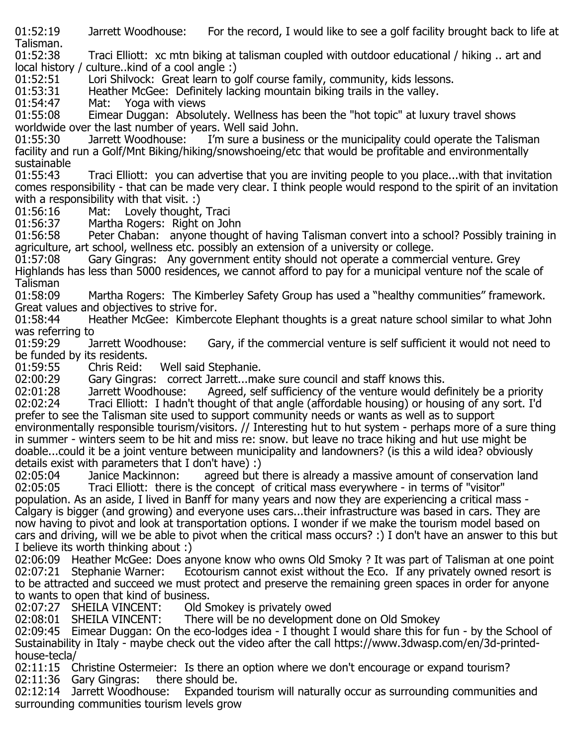01:52:19 Jarrett Woodhouse: For the record, I would like to see a golf facility brought back to life at

Talisman.<br>01:52:38 Traci Elliott: xc mtn biking at talisman coupled with outdoor educational / hiking .. art and local history / culture..kind of a cool angle :)

01:52:51 Lori Shilvock: Great learn to golf course family, community, kids lessons.<br>01:53:31 Heather McGee: Definitely lacking mountain biking trails in the valley.

01:53:31 Heather McGee: Definitely lacking mountain biking trails in the valley.<br>01:54:47 Mat: Yoga with views

01:54:47 Mat: Yoga with views<br>01:55:08 Eimear Duggan: Absolu

Eimear Duggan: Absolutely. Wellness has been the "hot topic" at luxury travel shows worldwide over the last number of years. Well said John.

I'm sure a business or the municipality could operate the Talisman facility and run a Golf/Mnt Biking/hiking/snowshoeing/etc that would be profitable and environmentally sustainable<br>01:55:43

Traci Elliott: you can advertise that you are inviting people to you place...with that invitation comes responsibility - that can be made very clear. I think people would respond to the spirit of an invitation with a responsibility with that visit. :)

01:56:16 Mat: Lovely thought, Traci<br>01:56:37 Martha Rogers: Right on Joh

01:56:37 Martha Rogers: Right on John<br>01:56:58 Peter Chaban: anvone though

Peter Chaban: anyone thought of having Talisman convert into a school? Possibly training in agriculture, art school, wellness etc. possibly an extension of a university or college.

Gary Gingras: Any government entity should not operate a commercial venture. Grey Highlands has less than 5000 residences, we cannot afford to pay for a municipal venture nof the scale of Talisman<br>01:58:09

Martha Rogers: The Kimberley Safety Group has used a "healthy communities" framework. Great values and objectives to strive for.

Heather McGee: Kimbercote Elephant thoughts is a great nature school similar to what John was referring to

Gary, if the commercial venture is self sufficient it would not need to be funded by its residents.<br>01:59:55 Chris Reid:

01:59:55 Chris Reid: Well said Stephanie.<br>02:00:29 Gary Gingras: correct Jarrett...ma

02:00:29 Gary Gingras: correct Jarrett...make sure council and staff knows this.<br>02:01:28 Jarrett Woodhouse: Agreed, self sufficiency of the venture would de 02:01:28 Jarrett Woodhouse: Agreed, self sufficiency of the venture would definitely be a priority<br>02:02:24 Traci Elliott: I hadn't thought of that angle (affordable housing) or housing of any sort. I'd Traci Elliott: I hadn't thought of that angle (affordable housing) or housing of any sort. I'd prefer to see the Talisman site used to support community needs or wants as well as to support environmentally responsible tourism/visitors. // Interesting hut to hut system - perhaps more of a sure thing in summer - winters seem to be hit and miss re: snow. but leave no trace hiking and hut use might be

doable...could it be a joint venture between municipality and landowners? (is this a wild idea? obviously details exist with parameters that I don't have) :)

02:05:04 Janice Mackinnon: agreed but there is already a massive amount of conservation land<br>02:05:05 Traci Elliott: there is the concept of critical mass everywhere - in terms of "visitor" Traci Elliott: there is the concept of critical mass everywhere - in terms of "visitor" population. As an aside, I lived in Banff for many years and now they are experiencing a critical mass - Calgary is bigger (and growing) and everyone uses cars...their infrastructure was based in cars. They are now having to pivot and look at transportation options. I wonder if we make the tourism model based on cars and driving, will we be able to pivot when the critical mass occurs? :) I don't have an answer to this but I believe its worth thinking about :)

02:06:09 Heather McGee: Does anyone know who owns Old Smoky ? It was part of Talisman at one point<br>02:07:21 Stephanie Warner: Ecotourism cannot exist without the Eco. If any privately owned resort is Ecotourism cannot exist without the Eco. If any privately owned resort is to be attracted and succeed we must protect and preserve the remaining green spaces in order for anyone to wants to open that kind of business.

02:07:27 SHEILA VINCENT: Old Smokey is privately owed<br>02:08:01 SHEILA VINCENT: There will be no development

There will be no development done on Old Smokey

02:09:45 Eimear Duggan: On the eco-lodges idea - I thought I would share this for fun - by the School of Sustainability in Italy - maybe check out the video after the call https://www.3dwasp.com/en/3d-printedhouse-tecla/

02:11:15 Christine Ostermeier: Is there an option where we don't encourage or expand tourism?<br>02:11:36 Gary Gingras: there should be. 02:11:36 Gary Gingras: there should be.<br>02:12:14 Jarrett Woodhouse: Expanded t

Expanded tourism will naturally occur as surrounding communities and surrounding communities tourism levels grow